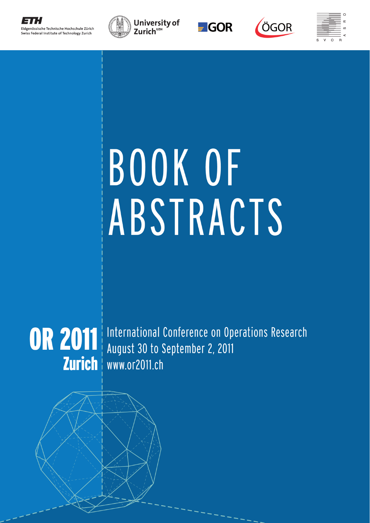







# BOOK OF ABSTRACTS



OR 2011 International Conference on Operations Research August 30 to September 2, 2011 Zurich | www.or2011.ch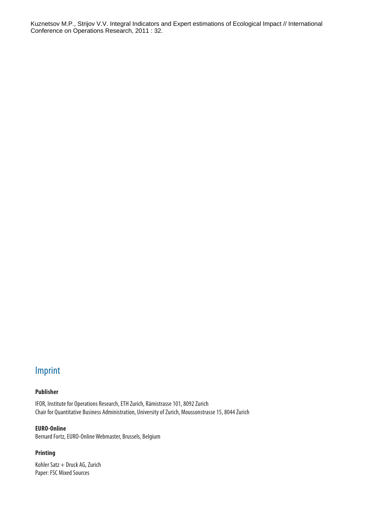Kuznetsov M.P., Strijov V.V. Integral Indicators and Expert estimations of Ecological Impact // International Conference on Operations Research, 2011 : 32.

# Imprint

#### **Publisher**

IFOR, Institute for Operations Research, ETH Zurich, Rämistrasse 101, 8092 Zurich Chair for Quantitative Business Administration, University of Zurich, Moussonstrasse 15, 8044 Zurich

## **EURO-Online**

Bernard Fortz, EURO-Online Webmaster, Brussels, Belgium

# **Printing**

Kohler Satz + Druck AG, Zurich Paper: FSC Mixed Sources